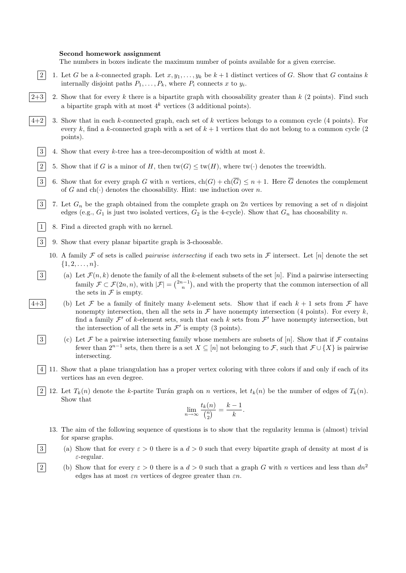## Second homework assignment

The numbers in boxes indicate the maximum number of points available for a given exercise.

- |2| 1. Let G be a k-connected graph. Let  $x, y_1, \ldots, y_k$  be  $k+1$  distinct vertices of G. Show that G contains k internally disjoint paths  $P_1, \ldots, P_k$ , where  $P_i$  connects x to  $y_i$ .
- $\overline{2+3}$  2. Show that for every k there is a bipartite graph with choosability greater than k (2 points). Find such a bipartite graph with at most  $4^k$  vertices (3 additional points).
- 4+2 3. Show that in each k-connected graph, each set of k vertices belongs to a common cycle (4 points). For every k, find a k-connected graph with a set of  $k + 1$  vertices that do not belong to a common cycle (2) points).
	- $|3|$  4. Show that every k-tree has a tree-decomposition of width at most k.
	- 2 5. Show that if G is a minor of H, then  $tw(G) \leq tw(H)$ , where  $tw(\cdot)$  denotes the treewidth.
	- 3 6. Show that for every graph G with n vertices,  $ch(G) + ch(\overline{G}) \leq n+1$ . Here  $\overline{G}$  denotes the complement of G and  $ch(\cdot)$  denotes the choosability. Hint: use induction over n.
	- $\begin{bmatrix}3 & 7. \end{bmatrix}$  Let  $G_n$  be the graph obtained from the complete graph on  $2n$  vertices by removing a set of n disjoint edges (e.g.,  $G_1$  is just two isolated vertices,  $G_2$  is the 4-cycle). Show that  $G_n$  has choosability n.
	- $\begin{bmatrix} 1 & 8 \end{bmatrix}$ . Find a directed graph with no kernel.
	- 3 9. Show that every planar bipartite graph is 3-choosable.
		- 10. A family F of sets is called *pairwise intersecting* if each two sets in F intersect. Let [n] denote the set  $\{1, 2, \ldots, n\}.$
	- $|3|$  (a) Let  $\mathcal{F}(n,k)$  denote the family of all the k-element subsets of the set [n]. Find a pairwise intersecting family  $\mathcal{F} \subset \mathcal{F}(2n, n)$ , with  $|\mathcal{F}| = \binom{2n-1}{n}$ , and with the property that the common intersection of all the sets in  $\mathcal F$  is empty.
- 4+3 (b) Let F be a family of finitely many k-element sets. Show that if each  $k + 1$  sets from F have nonempty intersection, then all the sets in  $\mathcal F$  have nonempty intersection (4 points). For every k, find a family  $\mathcal{F}'$  of k-element sets, such that each k sets from  $\mathcal{F}'$  have nonempty intersection, but the intersection of all the sets in  $\mathcal{F}'$  is empty (3 points).
	- 3 (c) Let F be a pairwise intersecting family whose members are subsets of [n]. Show that if F contains fewer than  $2^{n-1}$  sets, then there is a set  $X \subseteq [n]$  not belonging to  $\mathcal{F}$ , such that  $\mathcal{F} \cup \{X\}$  is pairwise intersecting.
	- 4 11. Show that a plane triangulation has a proper vertex coloring with three colors if and only if each of its vertices has an even degree.
	- 2 12. Let  $T_k(n)$  denote the k-partite Turán graph on n vertices, let  $t_k(n)$  be the number of edges of  $T_k(n)$ . Show that

$$
\lim_{n \to \infty} \frac{t_k(n)}{\binom{n}{2}} = \frac{k-1}{k}.
$$

- 13. The aim of the following sequence of questions is to show that the regularity lemma is (almost) trivial for sparse graphs.
- 3 (a) Show that for every  $\varepsilon > 0$  there is a  $d > 0$  such that every bipartite graph of density at most d is ε-regular.
- 2 (b) Show that for every  $\varepsilon > 0$  there is a  $d > 0$  such that a graph G with n vertices and less than  $dn^2$ edges has at most  $\varepsilon n$  vertices of degree greater than  $\varepsilon n$ .